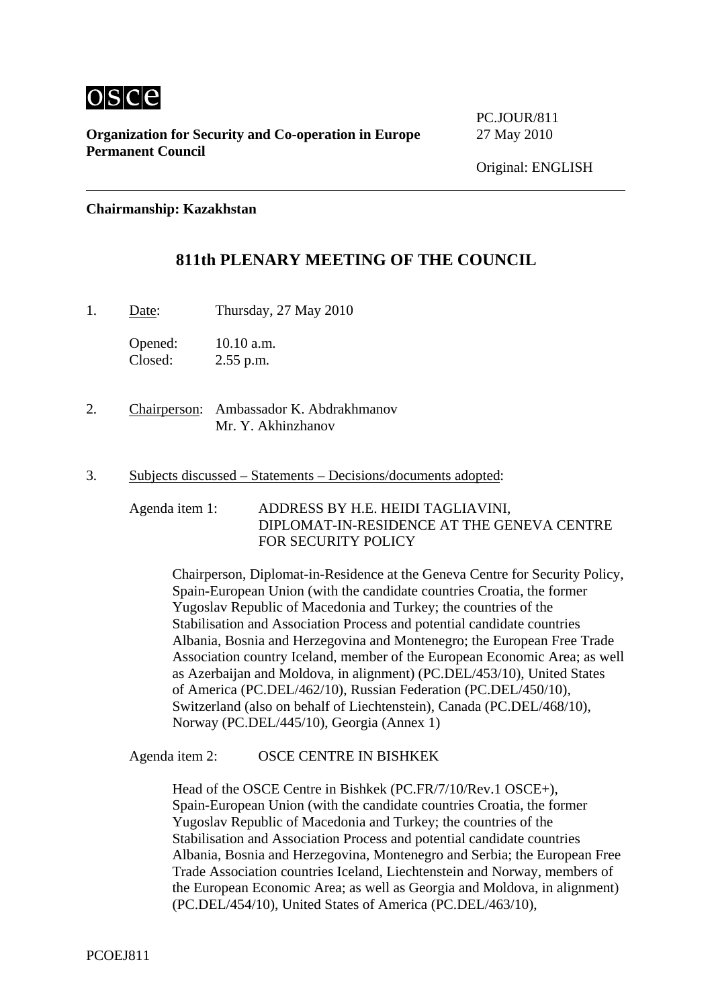

**Organization for Security and Co-operation in Europe** 27 May 2010 **Permanent Council** 

PC.JOUR/811

**Chairmanship: Kazakhstan** 

# **811th PLENARY MEETING OF THE COUNCIL**

1. Date: Thursday, 27 May 2010

Opened: 10.10 a.m. Closed: 2.55 p.m.

- 2. Chairperson: Ambassador K. Abdrakhmanov Mr. Y. Akhinzhanov
- 3. Subjects discussed Statements Decisions/documents adopted:

Agenda item 1: ADDRESS BY H.E. HEIDI TAGLIAVINI, DIPLOMAT-IN-RESIDENCE AT THE GENEVA CENTRE FOR SECURITY POLICY

Chairperson, Diplomat-in-Residence at the Geneva Centre for Security Policy, Spain-European Union (with the candidate countries Croatia, the former Yugoslav Republic of Macedonia and Turkey; the countries of the Stabilisation and Association Process and potential candidate countries Albania, Bosnia and Herzegovina and Montenegro; the European Free Trade Association country Iceland, member of the European Economic Area; as well as Azerbaijan and Moldova, in alignment) (PC.DEL/453/10), United States of America (PC.DEL/462/10), Russian Federation (PC.DEL/450/10), Switzerland (also on behalf of Liechtenstein), Canada (PC.DEL/468/10), Norway (PC.DEL/445/10), Georgia (Annex 1)

Agenda item 2: OSCE CENTRE IN BISHKEK

Head of the OSCE Centre in Bishkek (PC.FR/7/10/Rev.1 OSCE+), Spain-European Union (with the candidate countries Croatia, the former Yugoslav Republic of Macedonia and Turkey; the countries of the Stabilisation and Association Process and potential candidate countries Albania, Bosnia and Herzegovina, Montenegro and Serbia; the European Free Trade Association countries Iceland, Liechtenstein and Norway, members of the European Economic Area; as well as Georgia and Moldova, in alignment) (PC.DEL/454/10), United States of America (PC.DEL/463/10),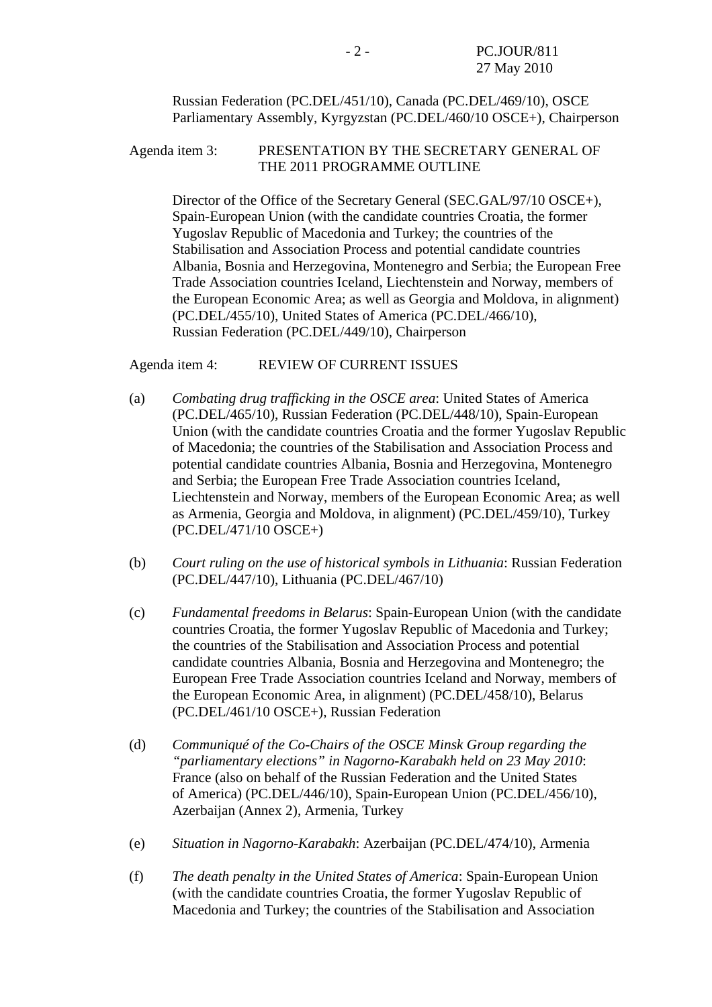Russian Federation (PC.DEL/451/10), Canada (PC.DEL/469/10), OSCE Parliamentary Assembly, Kyrgyzstan (PC.DEL/460/10 OSCE+), Chairperson

### Agenda item 3: PRESENTATION BY THE SECRETARY GENERAL OF THE 2011 PROGRAMME OUTLINE

Director of the Office of the Secretary General (SEC.GAL/97/10 OSCE+), Spain-European Union (with the candidate countries Croatia, the former Yugoslav Republic of Macedonia and Turkey; the countries of the Stabilisation and Association Process and potential candidate countries Albania, Bosnia and Herzegovina, Montenegro and Serbia; the European Free Trade Association countries Iceland, Liechtenstein and Norway, members of the European Economic Area; as well as Georgia and Moldova, in alignment) (PC.DEL/455/10), United States of America (PC.DEL/466/10), Russian Federation (PC.DEL/449/10), Chairperson

Agenda item 4: REVIEW OF CURRENT ISSUES

- (a) *Combating drug trafficking in the OSCE area*: United States of America (PC.DEL/465/10), Russian Federation (PC.DEL/448/10), Spain-European Union (with the candidate countries Croatia and the former Yugoslav Republic of Macedonia; the countries of the Stabilisation and Association Process and potential candidate countries Albania, Bosnia and Herzegovina, Montenegro and Serbia; the European Free Trade Association countries Iceland, Liechtenstein and Norway, members of the European Economic Area; as well as Armenia, Georgia and Moldova, in alignment) (PC.DEL/459/10), Turkey (PC.DEL/471/10 OSCE+)
- (b) *Court ruling on the use of historical symbols in Lithuania*: Russian Federation (PC.DEL/447/10), Lithuania (PC.DEL/467/10)
- (c) *Fundamental freedoms in Belarus*: Spain-European Union (with the candidate countries Croatia, the former Yugoslav Republic of Macedonia and Turkey; the countries of the Stabilisation and Association Process and potential candidate countries Albania, Bosnia and Herzegovina and Montenegro; the European Free Trade Association countries Iceland and Norway, members of the European Economic Area, in alignment) (PC.DEL/458/10), Belarus (PC.DEL/461/10 OSCE+), Russian Federation
- (d) *Communiqué of the Co-Chairs of the OSCE Minsk Group regarding the "parliamentary elections" in Nagorno-Karabakh held on 23 May 2010*: France (also on behalf of the Russian Federation and the United States of America) (PC.DEL/446/10), Spain-European Union (PC.DEL/456/10), Azerbaijan (Annex 2), Armenia, Turkey
- (e) *Situation in Nagorno-Karabakh*: Azerbaijan (PC.DEL/474/10), Armenia
- (f) *The death penalty in the United States of America*: Spain-European Union (with the candidate countries Croatia, the former Yugoslav Republic of Macedonia and Turkey; the countries of the Stabilisation and Association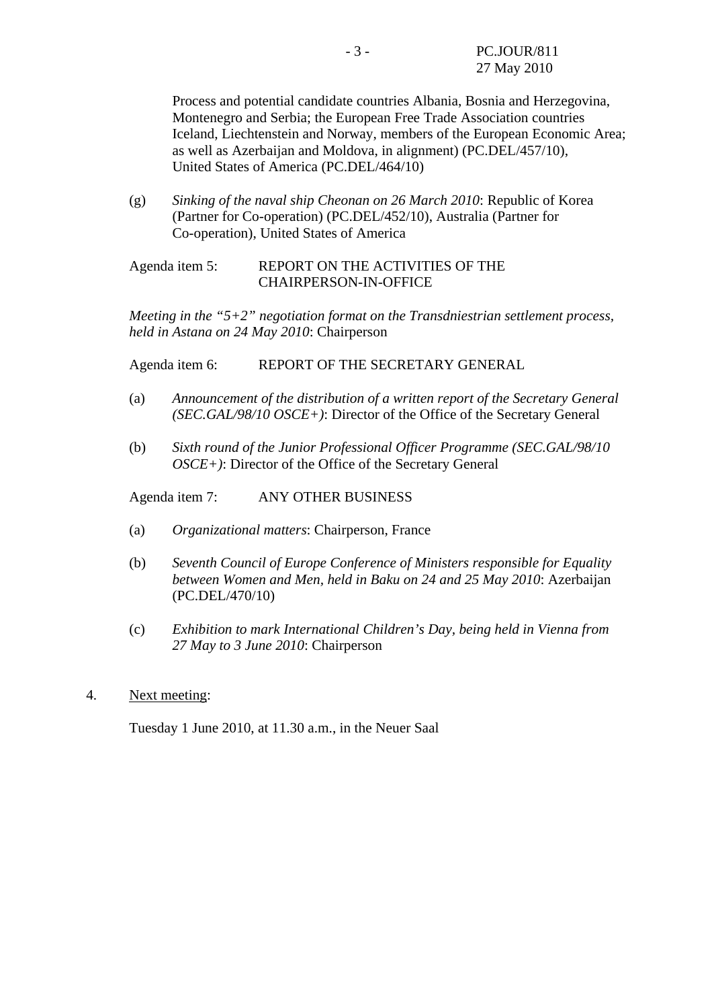Process and potential candidate countries Albania, Bosnia and Herzegovina, Montenegro and Serbia; the European Free Trade Association countries Iceland, Liechtenstein and Norway, members of the European Economic Area; as well as Azerbaijan and Moldova, in alignment) (PC.DEL/457/10), United States of America (PC.DEL/464/10)

(g) *Sinking of the naval ship Cheonan on 26 March 2010*: Republic of Korea (Partner for Co-operation) (PC.DEL/452/10), Australia (Partner for Co-operation), United States of America

### Agenda item 5: REPORT ON THE ACTIVITIES OF THE CHAIRPERSON-IN-OFFICE

*Meeting in the "5+2" negotiation format on the Transdniestrian settlement process, held in Astana on 24 May 2010*: Chairperson

Agenda item 6: REPORT OF THE SECRETARY GENERAL

- (a) *Announcement of the distribution of a written report of the Secretary General (SEC.GAL/98/10 OSCE+)*: Director of the Office of the Secretary General
- (b) *Sixth round of the Junior Professional Officer Programme (SEC.GAL/98/10 OSCE+)*: Director of the Office of the Secretary General

Agenda item 7: ANY OTHER BUSINESS

- (a) *Organizational matters*: Chairperson, France
- (b) *Seventh Council of Europe Conference of Ministers responsible for Equality between Women and Men, held in Baku on 24 and 25 May 2010*: Azerbaijan (PC.DEL/470/10)
- (c) *Exhibition to mark International Children's Day, being held in Vienna from 27 May to 3 June 2010*: Chairperson
- 4. Next meeting:

Tuesday 1 June 2010, at 11.30 a.m., in the Neuer Saal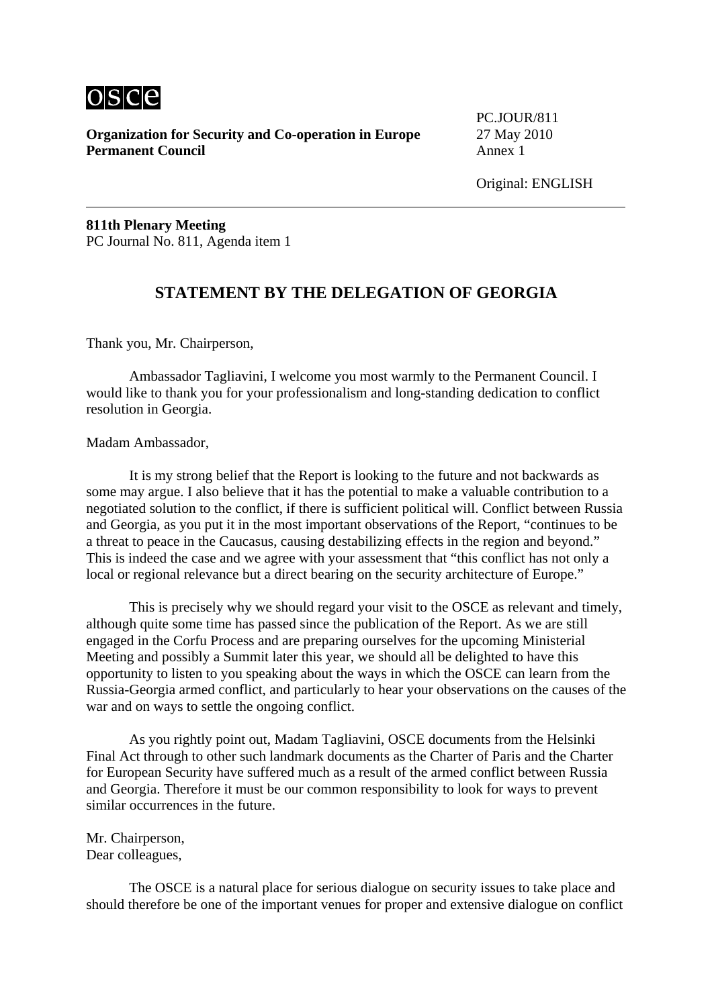

**Organization for Security and Co-operation in Europe** 27 May 2010 **Permanent Council Annex 1** 

PC.JOUR/811

Original: ENGLISH

**811th Plenary Meeting**  PC Journal No. 811, Agenda item 1

## **STATEMENT BY THE DELEGATION OF GEORGIA**

Thank you, Mr. Chairperson,

 Ambassador Tagliavini, I welcome you most warmly to the Permanent Council. I would like to thank you for your professionalism and long-standing dedication to conflict resolution in Georgia.

Madam Ambassador,

 It is my strong belief that the Report is looking to the future and not backwards as some may argue. I also believe that it has the potential to make a valuable contribution to a negotiated solution to the conflict, if there is sufficient political will. Conflict between Russia and Georgia, as you put it in the most important observations of the Report, "continues to be a threat to peace in the Caucasus, causing destabilizing effects in the region and beyond." This is indeed the case and we agree with your assessment that "this conflict has not only a local or regional relevance but a direct bearing on the security architecture of Europe."

 This is precisely why we should regard your visit to the OSCE as relevant and timely, although quite some time has passed since the publication of the Report. As we are still engaged in the Corfu Process and are preparing ourselves for the upcoming Ministerial Meeting and possibly a Summit later this year, we should all be delighted to have this opportunity to listen to you speaking about the ways in which the OSCE can learn from the Russia-Georgia armed conflict, and particularly to hear your observations on the causes of the war and on ways to settle the ongoing conflict.

 As you rightly point out, Madam Tagliavini, OSCE documents from the Helsinki Final Act through to other such landmark documents as the Charter of Paris and the Charter for European Security have suffered much as a result of the armed conflict between Russia and Georgia. Therefore it must be our common responsibility to look for ways to prevent similar occurrences in the future.

#### Mr. Chairperson, Dear colleagues,

 The OSCE is a natural place for serious dialogue on security issues to take place and should therefore be one of the important venues for proper and extensive dialogue on conflict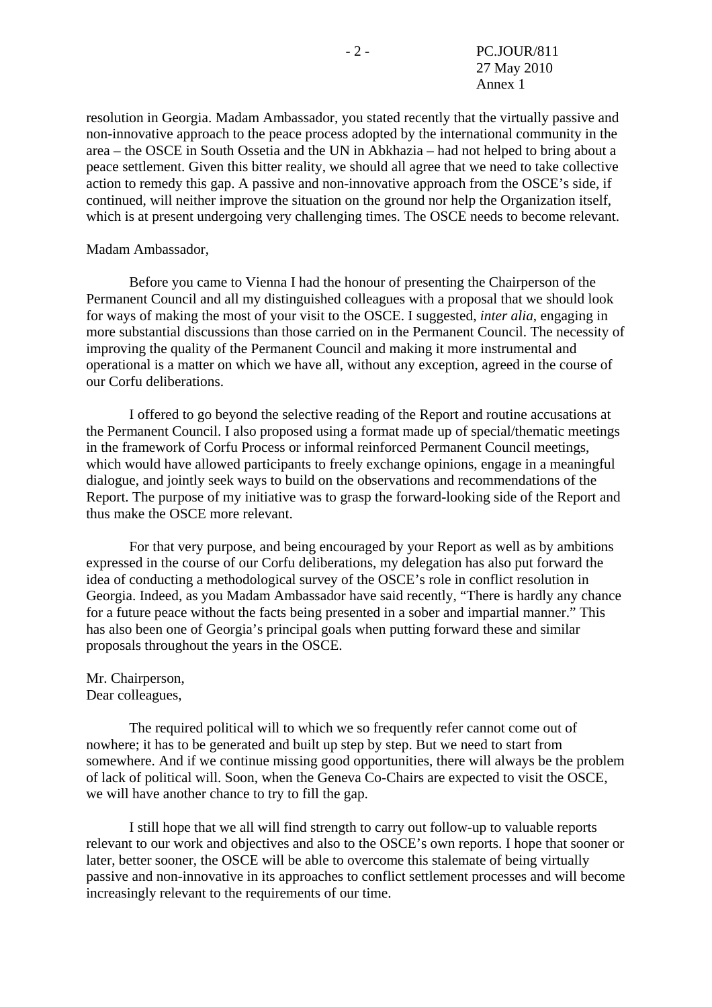resolution in Georgia. Madam Ambassador, you stated recently that the virtually passive and non-innovative approach to the peace process adopted by the international community in the area – the OSCE in South Ossetia and the UN in Abkhazia – had not helped to bring about a peace settlement. Given this bitter reality, we should all agree that we need to take collective action to remedy this gap. A passive and non-innovative approach from the OSCE's side, if continued, will neither improve the situation on the ground nor help the Organization itself, which is at present undergoing very challenging times. The OSCE needs to become relevant.

#### Madam Ambassador,

 Before you came to Vienna I had the honour of presenting the Chairperson of the Permanent Council and all my distinguished colleagues with a proposal that we should look for ways of making the most of your visit to the OSCE. I suggested, *inter alia*, engaging in more substantial discussions than those carried on in the Permanent Council. The necessity of improving the quality of the Permanent Council and making it more instrumental and operational is a matter on which we have all, without any exception, agreed in the course of our Corfu deliberations.

 I offered to go beyond the selective reading of the Report and routine accusations at the Permanent Council. I also proposed using a format made up of special/thematic meetings in the framework of Corfu Process or informal reinforced Permanent Council meetings, which would have allowed participants to freely exchange opinions, engage in a meaningful dialogue, and jointly seek ways to build on the observations and recommendations of the Report. The purpose of my initiative was to grasp the forward-looking side of the Report and thus make the OSCE more relevant.

 For that very purpose, and being encouraged by your Report as well as by ambitions expressed in the course of our Corfu deliberations, my delegation has also put forward the idea of conducting a methodological survey of the OSCE's role in conflict resolution in Georgia. Indeed, as you Madam Ambassador have said recently, "There is hardly any chance for a future peace without the facts being presented in a sober and impartial manner." This has also been one of Georgia's principal goals when putting forward these and similar proposals throughout the years in the OSCE.

#### Mr. Chairperson, Dear colleagues,

 The required political will to which we so frequently refer cannot come out of nowhere; it has to be generated and built up step by step. But we need to start from somewhere. And if we continue missing good opportunities, there will always be the problem of lack of political will. Soon, when the Geneva Co-Chairs are expected to visit the OSCE, we will have another chance to try to fill the gap.

 I still hope that we all will find strength to carry out follow-up to valuable reports relevant to our work and objectives and also to the OSCE's own reports. I hope that sooner or later, better sooner, the OSCE will be able to overcome this stalemate of being virtually passive and non-innovative in its approaches to conflict settlement processes and will become increasingly relevant to the requirements of our time.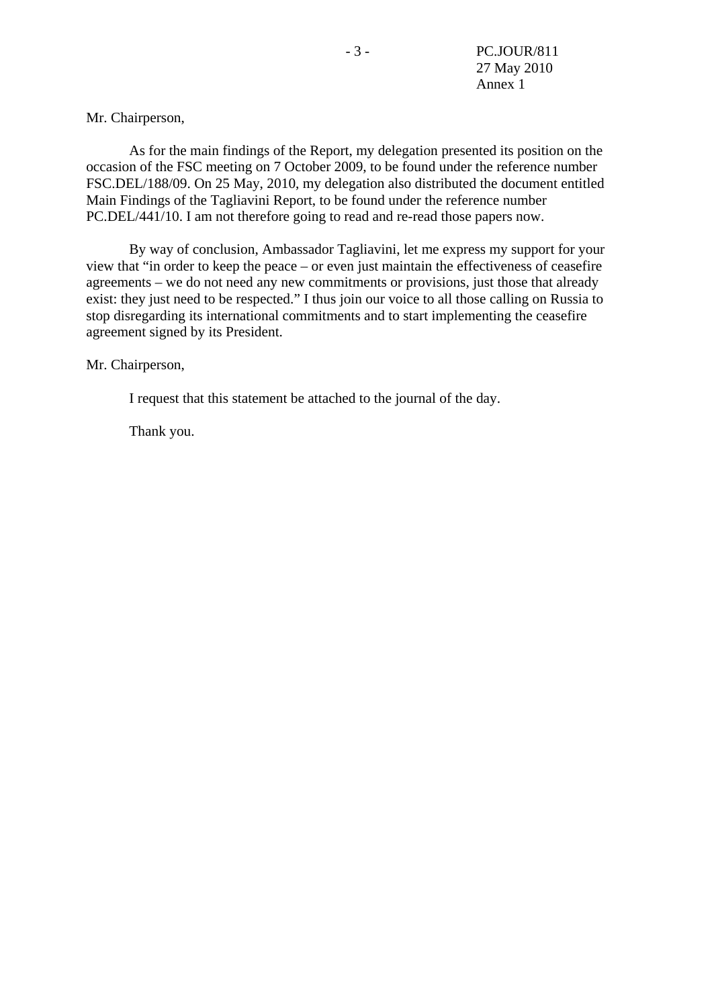#### Mr. Chairperson,

 As for the main findings of the Report, my delegation presented its position on the occasion of the FSC meeting on 7 October 2009, to be found under the reference number FSC.DEL/188/09. On 25 May, 2010, my delegation also distributed the document entitled Main Findings of the Tagliavini Report, to be found under the reference number PC.DEL/441/10. I am not therefore going to read and re-read those papers now.

 By way of conclusion, Ambassador Tagliavini, let me express my support for your view that "in order to keep the peace – or even just maintain the effectiveness of ceasefire agreements – we do not need any new commitments or provisions, just those that already exist: they just need to be respected." I thus join our voice to all those calling on Russia to stop disregarding its international commitments and to start implementing the ceasefire agreement signed by its President.

#### Mr. Chairperson,

I request that this statement be attached to the journal of the day.

Thank you.